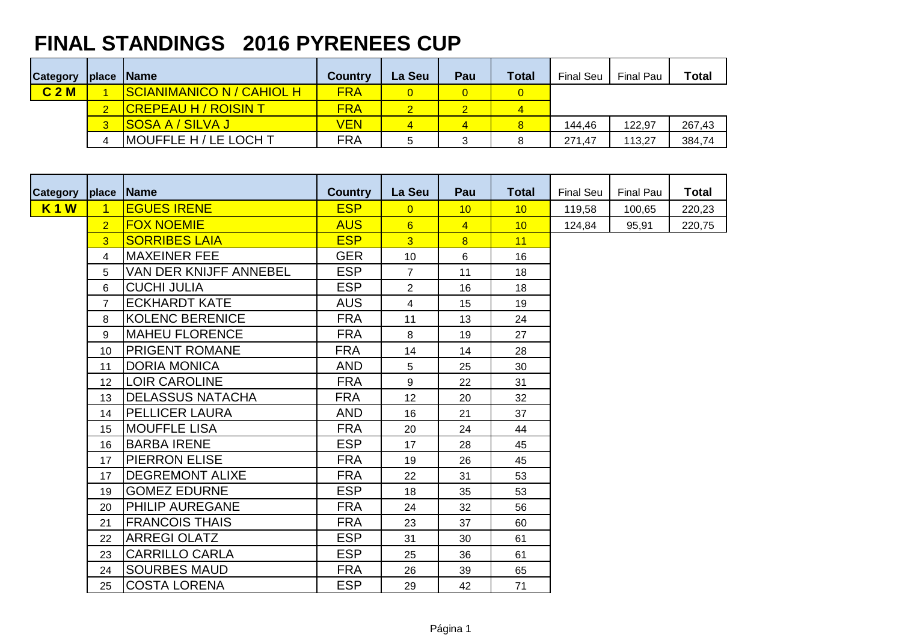## **FINAL STANDINGS 2016 PYRENEES CUP**

| <b>Category</b>  |                | place Name                         | <b>Country</b> | La Seu | Pau | <b>Total</b> | <b>Final Seu</b> | <b>Final Pau</b> | <b>Total</b> |
|------------------|----------------|------------------------------------|----------------|--------|-----|--------------|------------------|------------------|--------------|
| C <sub>2</sub> M |                | <u> ISCIANIMANICO N / CAHIOL H</u> | <b>FRA</b>     |        |     |              |                  |                  |              |
|                  |                | <b>CREPEAU H / ROISIN T</b>        | <b>FRA</b>     |        |     |              |                  |                  |              |
|                  | $\overline{3}$ | <u>ISOSA A / SILVA J</u>           | VEN            | 4      |     |              | 144,46           | 122.97           | 267,43       |
|                  |                | <b>MOUFFLE H / LE LOCH T</b>       | <b>FRA</b>     | 5      | 3   |              | 271.47           | 113,27           | 384,74       |

| <b>Category</b> | place          | <b>Name</b>             | <b>Country</b> | La Seu          | Pau            | <b>Total</b> | <b>Final Seu</b> | Final Pau | <b>Total</b> |
|-----------------|----------------|-------------------------|----------------|-----------------|----------------|--------------|------------------|-----------|--------------|
| <b>K1W</b>      | $\overline{1}$ | <b>EGUES IRENE</b>      | <b>ESP</b>     | $\Omega$        | 10             | 10           | 119,58           | 100,65    | 220,23       |
|                 | $\overline{2}$ | <b>FOX NOEMIE</b>       | <b>AUS</b>     | $6^{\circ}$     | $\overline{4}$ | 10           | 124,84           | 95,91     | 220,75       |
|                 | 3              | <b>SORRIBES LAIA</b>    | <b>ESP</b>     | 3 <sup>2</sup>  | 8              | 11           |                  |           |              |
|                 | 4              | <b>MAXEINER FEE</b>     | <b>GER</b>     | 10 <sup>1</sup> | 6              | 16           |                  |           |              |
|                 | 5              | VAN DER KNIJFF ANNEBEL  | <b>ESP</b>     | $\overline{7}$  | 11             | 18           |                  |           |              |
|                 | 6              | <b>CUCHI JULIA</b>      | <b>ESP</b>     | $\overline{2}$  | 16             | 18           |                  |           |              |
|                 | $\overline{7}$ | <b>ECKHARDT KATE</b>    | <b>AUS</b>     | $\overline{4}$  | 15             | 19           |                  |           |              |
|                 | 8              | <b>KOLENC BERENICE</b>  | <b>FRA</b>     | 11              | 13             | 24           |                  |           |              |
|                 | 9              | <b>MAHEU FLORENCE</b>   | <b>FRA</b>     | 8               | 19             | 27           |                  |           |              |
|                 | 10             | <b>PRIGENT ROMANE</b>   | <b>FRA</b>     | 14              | 14             | 28           |                  |           |              |
|                 | 11             | <b>DORIA MONICA</b>     | <b>AND</b>     | 5               | 25             | 30           |                  |           |              |
|                 | 12             | <b>LOIR CAROLINE</b>    | <b>FRA</b>     | 9               | 22             | 31           |                  |           |              |
|                 | 13             | <b>DELASSUS NATACHA</b> | <b>FRA</b>     | 12 <sup>°</sup> | 20             | 32           |                  |           |              |
|                 | 14             | <b>PELLICER LAURA</b>   | <b>AND</b>     | 16              | 21             | 37           |                  |           |              |
|                 | 15             | <b>MOUFFLE LISA</b>     | <b>FRA</b>     | 20              | 24             | 44           |                  |           |              |
|                 | 16             | <b>BARBA IRENE</b>      | <b>ESP</b>     | 17              | 28             | 45           |                  |           |              |
|                 | 17             | <b>PIERRON ELISE</b>    | <b>FRA</b>     | 19              | 26             | 45           |                  |           |              |
|                 | 17             | <b>DEGREMONT ALIXE</b>  | <b>FRA</b>     | 22              | 31             | 53           |                  |           |              |
|                 | 19             | <b>GOMEZ EDURNE</b>     | <b>ESP</b>     | 18              | 35             | 53           |                  |           |              |
|                 | 20             | <b>PHILIP AUREGANE</b>  | <b>FRA</b>     | 24              | 32             | 56           |                  |           |              |
|                 | 21             | <b>FRANCOIS THAIS</b>   | <b>FRA</b>     | 23              | 37             | 60           |                  |           |              |
|                 | 22             | <b>ARREGI OLATZ</b>     | <b>ESP</b>     | 31              | 30             | 61           |                  |           |              |
|                 | 23             | <b>CARRILLO CARLA</b>   | <b>ESP</b>     | 25              | 36             | 61           |                  |           |              |
|                 | 24             | <b>SOURBES MAUD</b>     | <b>FRA</b>     | 26              | 39             | 65           |                  |           |              |
|                 | 25             | <b>COSTA LORENA</b>     | <b>ESP</b>     | 29              | 42             | 71           |                  |           |              |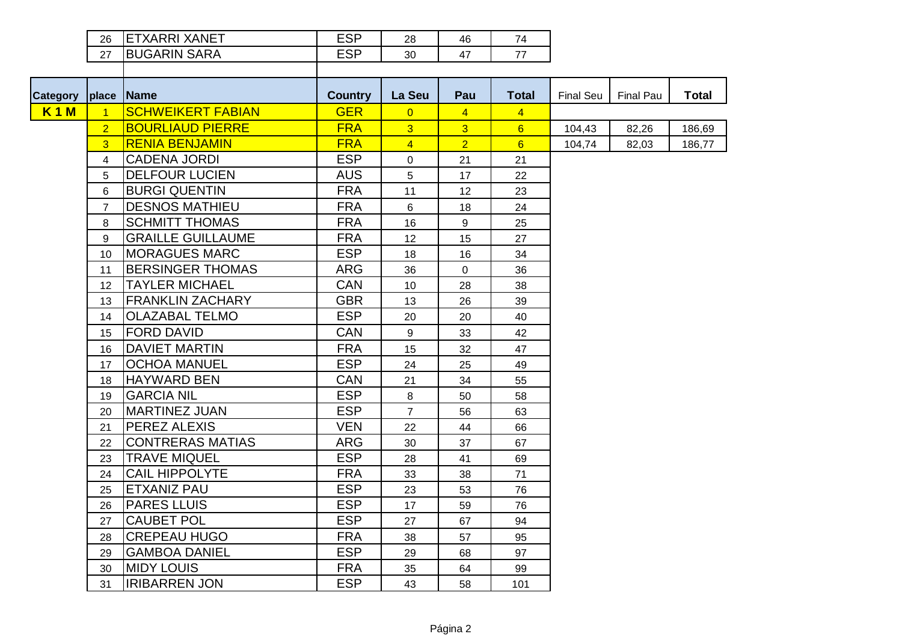| 26         | <b>XARRI XANET</b> | ron | 28 | 46 | $\overline{4}$ |
|------------|--------------------|-----|----|----|----------------|
| $\epsilon$ | JGARIN SARA        | rnn | 30 | 4  | 77             |
|            |                    |     |    |    |                |

| <b>Category</b> | place                   | <b>Name</b>              | <b>Country</b> | La Seu         | Pau            | <b>Total</b>   | Final Seu | <b>Final Pau</b> | <b>Total</b> |
|-----------------|-------------------------|--------------------------|----------------|----------------|----------------|----------------|-----------|------------------|--------------|
| <b>K1M</b>      | $\overline{1}$          | <b>SCHWEIKERT FABIAN</b> | <b>GER</b>     | $\overline{0}$ | $\overline{4}$ | $\overline{4}$ |           |                  |              |
|                 | $\overline{2}$          | <b>BOURLIAUD PIERRE</b>  | <b>FRA</b>     | $\overline{3}$ | $\overline{3}$ | 6              | 104,43    | 82,26            | 186,69       |
|                 | $\overline{3}$          | <b>RENIA BENJAMIN</b>    | <b>FRA</b>     | $\overline{4}$ | $\overline{2}$ | 6              | 104,74    | 82,03            | 186,77       |
|                 | $\overline{\mathbf{4}}$ | <b>CADENA JORDI</b>      | <b>ESP</b>     | $\overline{0}$ | 21             | 21             |           |                  |              |
|                 | $\overline{5}$          | <b>DELFOUR LUCIEN</b>    | <b>AUS</b>     | 5              | 17             | 22             |           |                  |              |
|                 | 6                       | <b>BURGI QUENTIN</b>     | <b>FRA</b>     | 11             | 12             | 23             |           |                  |              |
|                 | $\overline{7}$          | <b>DESNOS MATHIEU</b>    | <b>FRA</b>     | 6              | 18             | 24             |           |                  |              |
|                 | 8                       | <b>SCHMITT THOMAS</b>    | <b>FRA</b>     | 16             | 9              | 25             |           |                  |              |
|                 | 9                       | <b>GRAILLE GUILLAUME</b> | <b>FRA</b>     | 12             | 15             | 27             |           |                  |              |
|                 | 10                      | <b>MORAGUES MARC</b>     | <b>ESP</b>     | 18             | 16             | 34             |           |                  |              |
|                 | 11                      | <b>BERSINGER THOMAS</b>  | <b>ARG</b>     | 36             | 0              | 36             |           |                  |              |
|                 | 12                      | <b>TAYLER MICHAEL</b>    | <b>CAN</b>     | 10             | 28             | 38             |           |                  |              |
|                 | 13                      | <b>FRANKLIN ZACHARY</b>  | <b>GBR</b>     | 13             | 26             | 39             |           |                  |              |
|                 | 14                      | <b>OLAZABAL TELMO</b>    | <b>ESP</b>     | 20             | 20             | 40             |           |                  |              |
|                 | 15                      | <b>FORD DAVID</b>        | <b>CAN</b>     | 9              | 33             | 42             |           |                  |              |
|                 | 16                      | <b>DAVIET MARTIN</b>     | <b>FRA</b>     | 15             | 32             | 47             |           |                  |              |
|                 | 17                      | <b>OCHOA MANUEL</b>      | <b>ESP</b>     | 24             | 25             | 49             |           |                  |              |
|                 | 18                      | <b>HAYWARD BEN</b>       | <b>CAN</b>     | 21             | 34             | 55             |           |                  |              |
|                 | 19                      | <b>GARCIA NIL</b>        | <b>ESP</b>     | 8              | 50             | 58             |           |                  |              |
|                 | 20                      | <b>MARTINEZ JUAN</b>     | <b>ESP</b>     | $\overline{7}$ | 56             | 63             |           |                  |              |
|                 | 21                      | PEREZ ALEXIS             | <b>VEN</b>     | 22             | 44             | 66             |           |                  |              |
|                 | 22                      | <b>CONTRERAS MATIAS</b>  | <b>ARG</b>     | 30             | 37             | 67             |           |                  |              |
|                 | 23                      | <b>TRAVE MIQUEL</b>      | <b>ESP</b>     | 28             | 41             | 69             |           |                  |              |
|                 | 24                      | <b>CAIL HIPPOLYTE</b>    | <b>FRA</b>     | 33             | 38             | 71             |           |                  |              |
|                 | 25                      | <b>ETXANIZ PAU</b>       | <b>ESP</b>     | 23             | 53             | 76             |           |                  |              |
|                 | 26                      | <b>PARES LLUIS</b>       | <b>ESP</b>     | 17             | 59             | 76             |           |                  |              |
|                 | 27                      | <b>CAUBET POL</b>        | <b>ESP</b>     | 27             | 67             | 94             |           |                  |              |
|                 | 28                      | <b>CREPEAU HUGO</b>      | <b>FRA</b>     | 38             | 57             | 95             |           |                  |              |
|                 | 29                      | <b>GAMBOA DANIEL</b>     | <b>ESP</b>     | 29             | 68             | 97             |           |                  |              |
|                 | 30                      | <b>MIDY LOUIS</b>        | <b>FRA</b>     | 35             | 64             | 99             |           |                  |              |
|                 | 31                      | <b>IRIBARREN JON</b>     | <b>ESP</b>     | 43             | 58             | 101            |           |                  |              |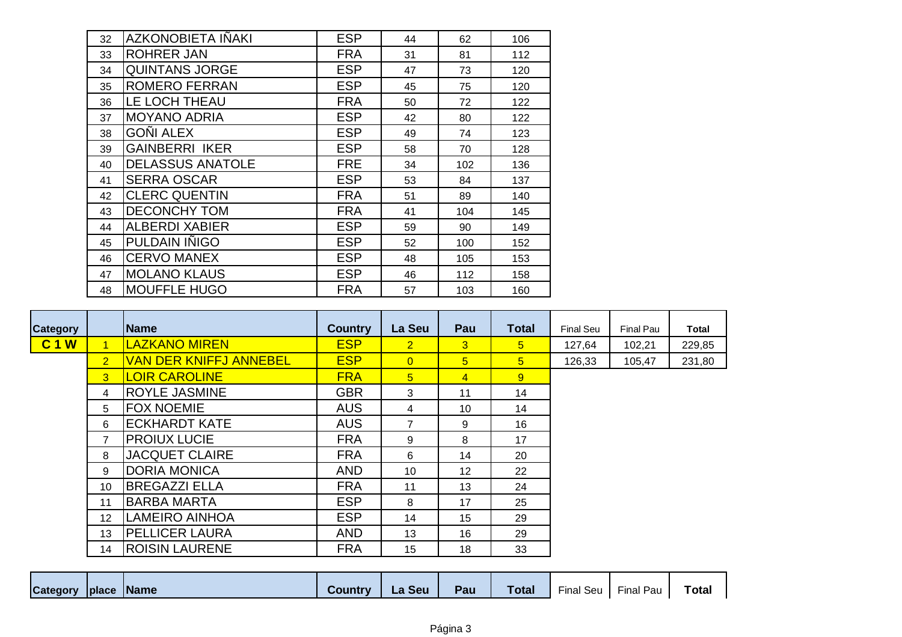| 32 | <b>AZKONOBIETA IÑAKI</b> | <b>ESP</b> | 44 | 62  | 106 |
|----|--------------------------|------------|----|-----|-----|
| 33 | <b>ROHRER JAN</b>        | <b>FRA</b> | 31 | 81  | 112 |
| 34 | <b>QUINTANS JORGE</b>    | <b>ESP</b> | 47 | 73  | 120 |
| 35 | <b>ROMERO FERRAN</b>     | <b>ESP</b> | 45 | 75  | 120 |
| 36 | LE LOCH THEAU            | <b>FRA</b> | 50 | 72  | 122 |
| 37 | <b>MOYANO ADRIA</b>      | <b>ESP</b> | 42 | 80  | 122 |
| 38 | <b>GOÑI ALEX</b>         | <b>ESP</b> | 49 | 74  | 123 |
| 39 | <b>GAINBERRI IKER</b>    | <b>ESP</b> | 58 | 70  | 128 |
| 40 | <b>DELASSUS ANATOLE</b>  | <b>FRE</b> | 34 | 102 | 136 |
| 41 | <b>SERRA OSCAR</b>       | <b>ESP</b> | 53 | 84  | 137 |
| 42 | <b>CLERC QUENTIN</b>     | <b>FRA</b> | 51 | 89  | 140 |
| 43 | <b>DECONCHY TOM</b>      | <b>FRA</b> | 41 | 104 | 145 |
| 44 | <b>ALBERDI XABIER</b>    | <b>ESP</b> | 59 | 90  | 149 |
| 45 | PULDAIN INIGO            | <b>ESP</b> | 52 | 100 | 152 |
| 46 | <b>CERVO MANEX</b>       | <b>ESP</b> | 48 | 105 | 153 |
| 47 | <b>MOLANO KLAUS</b>      | <b>ESP</b> | 46 | 112 | 158 |
| 48 | <b>MOUFFLE HUGO</b>      | <b>FRA</b> | 57 | 103 | 160 |

| <b>Category</b> |                      | <b>Name</b>                   | <b>Country</b> | La Seu         | Pau            | Total          | <b>Final Seu</b> | <b>Final Pau</b> | <b>Total</b> |
|-----------------|----------------------|-------------------------------|----------------|----------------|----------------|----------------|------------------|------------------|--------------|
| <b>C1W</b>      | $\blacktriangleleft$ | <b>LAZKANO MIREN</b>          | <b>ESP</b>     | $\overline{2}$ | 3 <sup>1</sup> | 5 <sup>5</sup> | 127,64           | 102,21           | 229,85       |
|                 | $\overline{2}$       | <b>VAN DER KNIFFJ ANNEBEL</b> | <b>ESP</b>     | $\overline{0}$ | 5 <sub>5</sub> | 5 <sup>5</sup> | 126,33           | 105,47           | 231,80       |
|                 | 3                    | <b>LOIR CAROLINE</b>          | <b>FRA</b>     | 5 <sup>5</sup> | $\overline{4}$ | 9 <sup>°</sup> |                  |                  |              |
|                 | 4                    | <b>ROYLE JASMINE</b>          | <b>GBR</b>     | 3              | 11             | 14             |                  |                  |              |
|                 | 5                    | <b>FOX NOEMIE</b>             | <b>AUS</b>     | 4              | 10             | 14             |                  |                  |              |
|                 | 6                    | <b>ECKHARDT KATE</b>          | <b>AUS</b>     | 7              | 9              | 16             |                  |                  |              |
|                 | 7                    | <b>PROIUX LUCIE</b>           | <b>FRA</b>     | 9              | 8              | 17             |                  |                  |              |
|                 | 8                    | <b>JACQUET CLAIRE</b>         | <b>FRA</b>     | 6              | 14             | 20             |                  |                  |              |
|                 | 9                    | <b>DORIA MONICA</b>           | <b>AND</b>     | 10             | 12             | 22             |                  |                  |              |
|                 | 10                   | <b>BREGAZZI ELLA</b>          | <b>FRA</b>     | 11             | 13             | 24             |                  |                  |              |
|                 | 11                   | <b>BARBA MARTA</b>            | <b>ESP</b>     | 8              | 17             | 25             |                  |                  |              |
|                 | 12                   | <b>LAMEIRO AINHOA</b>         | <b>ESP</b>     | 14             | 15             | 29             |                  |                  |              |
|                 | 13                   | <b>PELLICER LAURA</b>         | <b>AND</b>     | 13             | 16             | 29             |                  |                  |              |
|                 | 14                   | <b>ROISIN LAURENE</b>         | <b>FRA</b>     | 15             | 18             | 33             |                  |                  |              |

| Category   place   Name<br><b>Country</b> | Pau<br><b>Seu</b><br>La. | <b>Total</b> | <b>Final Seu</b><br>Final Pau | Total |
|-------------------------------------------|--------------------------|--------------|-------------------------------|-------|
|-------------------------------------------|--------------------------|--------------|-------------------------------|-------|